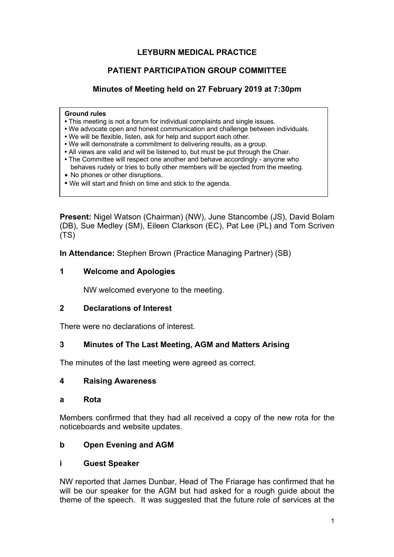# **LEYBURN MEDICAL PRACTICE**

# **PATIENT PARTICIPATION GROUP COMMITTEE**

# **Minutes of Meeting held on 27 February 2019 at 7:30pm**

#### **Ground rules**

- This meeting is not a forum for individual complaints and single issues.
- We advocate open and honest communication and challenge between individuals.
- We will be flexible, listen, ask for help and support each other.
- We will demonstrate a commitment to delivering results, as a group.
- All views are valid and will be listened to, but must be put through the Chair.
- The Committee will respect one another and behave accordingly anyone who behaves rudely or tries to bully other members will be ejected from the meeting.
- No phones or other disruptions.
- We will start and finish on time and stick to the agenda.

**Present:** Nigel Watson (Chairman) (NW), June Stancombe (JS), David Bolam (DB), Sue Medley (SM), Eileen Clarkson (EC), Pat Lee (PL) and Tom Scriven (TS)

**In Attendance:** Stephen Brown (Practice Managing Partner) (SB)

### **1 Welcome and Apologies**

NW welcomed everyone to the meeting.

### **2 Declarations of Interest**

There were no declarations of interest.

### **3 Minutes of The Last Meeting, AGM and Matters Arising**

The minutes of the last meeting were agreed as correct.

### **4 Raising Awareness**

#### **a Rota**

Members confirmed that they had all received a copy of the new rota for the noticeboards and website updates.

### **b Open Evening and AGM**

### **i Guest Speaker**

NW reported that James Dunbar, Head of The Friarage has confirmed that he will be our speaker for the AGM but had asked for a rough guide about the theme of the speech. It was suggested that the future role of services at the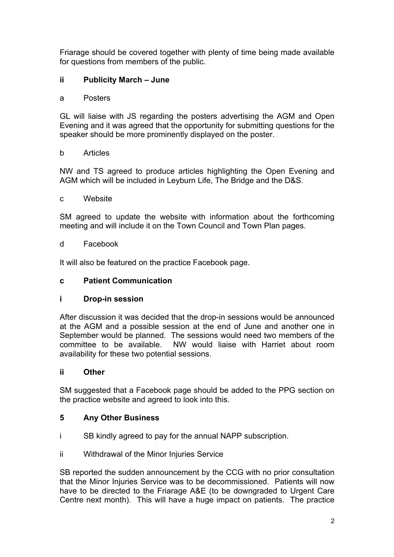Friarage should be covered together with plenty of time being made available for questions from members of the public.

# **ii Publicity March – June**

a Posters

GL will liaise with JS regarding the posters advertising the AGM and Open Evening and it was agreed that the opportunity for submitting questions for the speaker should be more prominently displayed on the poster.

### b Articles

NW and TS agreed to produce articles highlighting the Open Evening and AGM which will be included in Leyburn Life, The Bridge and the D&S.

### c Website

SM agreed to update the website with information about the forthcoming meeting and will include it on the Town Council and Town Plan pages.

### d Facebook

It will also be featured on the practice Facebook page.

### **c Patient Communication**

### **i Drop-in session**

After discussion it was decided that the drop-in sessions would be announced at the AGM and a possible session at the end of June and another one in September would be planned. The sessions would need two members of the committee to be available. NW would liaise with Harriet about room availability for these two potential sessions.

### **ii Other**

SM suggested that a Facebook page should be added to the PPG section on the practice website and agreed to look into this.

### **5 Any Other Business**

- i SB kindly agreed to pay for the annual NAPP subscription.
- ii Withdrawal of the Minor Injuries Service

SB reported the sudden announcement by the CCG with no prior consultation that the Minor Injuries Service was to be decommissioned. Patients will now have to be directed to the Friarage A&E (to be downgraded to Urgent Care Centre next month). This will have a huge impact on patients. The practice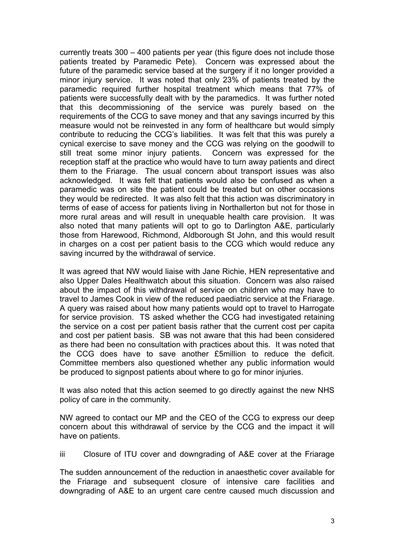currently treats 300 – 400 patients per year (this figure does not include those patients treated by Paramedic Pete). Concern was expressed about the future of the paramedic service based at the surgery if it no longer provided a minor injury service. It was noted that only 23% of patients treated by the paramedic required further hospital treatment which means that 77% of patients were successfully dealt with by the paramedics. It was further noted that this decommissioning of the service was purely based on the requirements of the CCG to save money and that any savings incurred by this measure would not be reinvested in any form of healthcare but would simply contribute to reducing the CCG's liabilities. It was felt that this was purely a cynical exercise to save money and the CCG was relying on the goodwill to still treat some minor injury patients. Concern was expressed for the reception staff at the practice who would have to turn away patients and direct them to the Friarage. The usual concern about transport issues was also acknowledged. It was felt that patients would also be confused as when a paramedic was on site the patient could be treated but on other occasions they would be redirected. It was also felt that this action was discriminatory in terms of ease of access for patients living in Northallerton but not for those in more rural areas and will result in unequable health care provision. It was also noted that many patients will opt to go to Darlington A&E, particularly those from Harewood, Richmond, Aldborough St John, and this would result in charges on a cost per patient basis to the CCG which would reduce any saving incurred by the withdrawal of service.

It was agreed that NW would liaise with Jane Richie, HEN representative and also Upper Dales Healthwatch about this situation. Concern was also raised about the impact of this withdrawal of service on children who may have to travel to James Cook in view of the reduced paediatric service at the Friarage. A query was raised about how many patients would opt to travel to Harrogate for service provision. TS asked whether the CCG had investigated retaining the service on a cost per patient basis rather that the current cost per capita and cost per patient basis. SB was not aware that this had been considered as there had been no consultation with practices about this. It was noted that the CCG does have to save another £5million to reduce the deficit. Committee members also questioned whether any public information would be produced to signpost patients about where to go for minor injuries.

It was also noted that this action seemed to go directly against the new NHS policy of care in the community.

NW agreed to contact our MP and the CEO of the CCG to express our deep concern about this withdrawal of service by the CCG and the impact it will have on patients.

iii Closure of ITU cover and downgrading of A&E cover at the Friarage

The sudden announcement of the reduction in anaesthetic cover available for the Friarage and subsequent closure of intensive care facilities and downgrading of A&E to an urgent care centre caused much discussion and